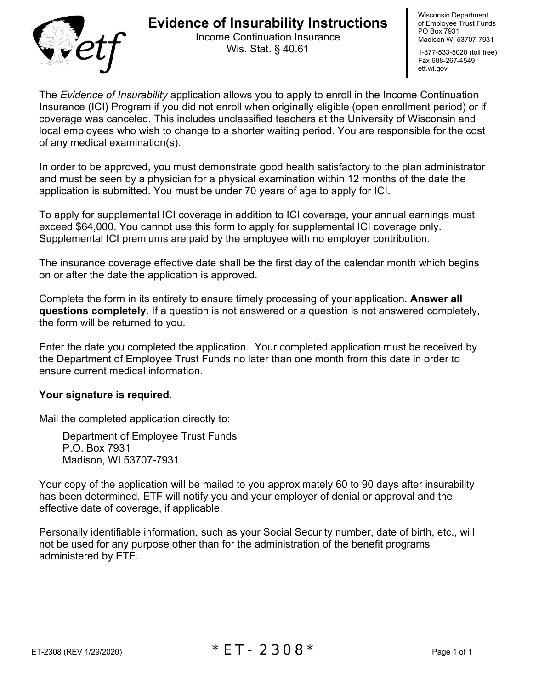

## **Evidence of Insurability Instructions**

Income Continuation Insurance Wis. Stat. § 40.61

Wisconsin Department of Employee Trust Funds PO Box 7931 Madison WI 53707-7931

1-877-533-5020 (toll free) Fax 608-267-4549 etf.wi.gov

The *Evidence of Insurability* application allows you to apply to enroll in the Income Continuation Insurance (ICI) Program if you did not enroll when originally eligible (open enrollment period) or if coverage was canceled. This includes unclassified teachers at the University of Wisconsin and local employees who wish to change to a shorter waiting period. You are responsible for the cost of any medical examination(s).

In order to be approved, you must demonstrate good health satisfactory to the plan administrator and must be seen by a physician for a physical examination within 12 months of the date the application is submitted. You must be under 70 years of age to apply for ICI.

To apply for supplemental ICI coverage in addition to ICI coverage, your annual earnings must exceed \$64,000. You cannot use this form to apply for supplemental ICI coverage only. Supplemental ICI premiums are paid by the employee with no employer contribution.

The insurance coverage effective date shall be the first day of the calendar month which begins on or after the date the application is approved.

Complete the form in its entirety to ensure timely processing of your application. **Answer all questions completely.** If a question is not answered or a question is not answered completely, the form will be returned to you.

Enter the date you completed the application. Your completed application must be received by the Department of Employee Trust Funds no later than one month from this date in order to ensure current medical information.

## **Your signature is required.**

Mail the completed application directly to:

Department of Employee Trust Funds P.O. Box 7931 Madison, WI 53707-7931

Your copy of the application will be mailed to you approximately 60 to 90 days after insurability has been determined. ETF will notify you and your employer of denial or approval and the effective date of coverage, if applicable.

Personally identifiable information, such as your Social Security number, date of birth, etc., will not be used for any purpose other than for the administration of the benefit programs administered by ETF.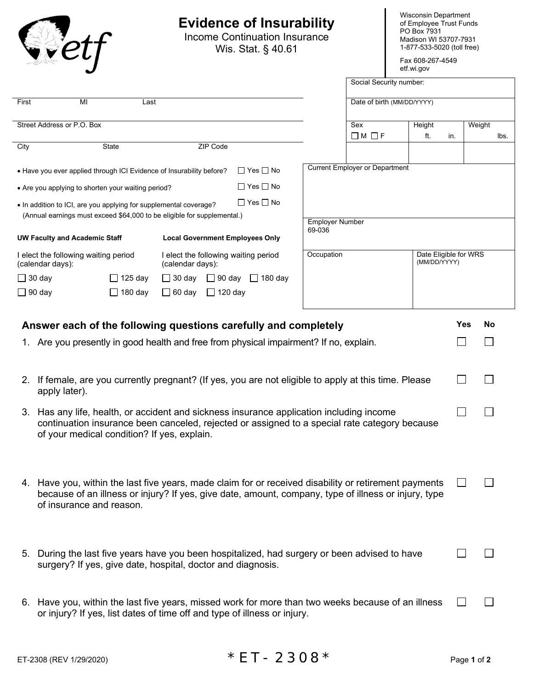## **Evidence of Insurability**

Income Continuation Insurance Wis. Stat. § 40.61

Wisconsin Department of Employee Trust Funds PO Box 7931 Madison WI 53707-7931 1-877-533-5020 (toll free)

Fax 608-267-4549 etf.wi.gov

|                                                                                                                                              |                |                             |                      |                                      |  | Social Security number:                             |                                       |               |     |        |      |
|----------------------------------------------------------------------------------------------------------------------------------------------|----------------|-----------------------------|----------------------|--------------------------------------|--|-----------------------------------------------------|---------------------------------------|---------------|-----|--------|------|
| First<br>MI                                                                                                                                  | Last           |                             |                      |                                      |  |                                                     | Date of birth (MM/DD/YYYY)            |               |     |        |      |
| Street Address or P.O. Box                                                                                                                   |                |                             |                      |                                      |  |                                                     | Sex                                   | Height<br>ft. |     | Weight | lbs. |
| City                                                                                                                                         | State          |                             | ZIP Code             |                                      |  |                                                     | $\Box$ M $\Box$ F                     |               | in. |        |      |
| • Have you ever applied through ICI Evidence of Insurability before?                                                                         |                |                             |                      | $\Box$ Yes $\Box$ No                 |  |                                                     | <b>Current Employer or Department</b> |               |     |        |      |
| • Are you applying to shorten your waiting period?                                                                                           |                |                             | $\Box$ Yes $\Box$ No |                                      |  |                                                     |                                       |               |     |        |      |
| • In addition to ICI, are you applying for supplemental coverage?<br>(Annual earnings must exceed \$64,000 to be eligible for supplemental.) |                |                             |                      | $\Box$ Yes $\Box$ No                 |  |                                                     |                                       |               |     |        |      |
| <b>Local Government Employees Only</b><br><b>UW Faculty and Academic Staff</b>                                                               |                |                             |                      |                                      |  | <b>Employer Number</b><br>69-036                    |                                       |               |     |        |      |
| I elect the following waiting period<br>(calendar days):                                                                                     |                | (calendar days):            |                      | l elect the following waiting period |  | Occupation<br>Date Eligible for WRS<br>(MM/DD/YYYY) |                                       |               |     |        |      |
| $\Box$ 30 day                                                                                                                                | $\Box$ 125 day | $\Box$ 30 day $\Box$ 90 day |                      | $180$ day<br>$\Box$                  |  |                                                     |                                       |               |     |        |      |
| $\Box$ 90 day                                                                                                                                | $\Box$ 180 day | $\Box$ 60 day               | $\Box$ 120 day       |                                      |  |                                                     |                                       |               |     |        |      |

| Answer each of the following questions carefully and completely |                                                                                                                                                                                                                                           |  | <b>No</b> |
|-----------------------------------------------------------------|-------------------------------------------------------------------------------------------------------------------------------------------------------------------------------------------------------------------------------------------|--|-----------|
|                                                                 | 1. Are you presently in good health and free from physical impairment? If no, explain.                                                                                                                                                    |  |           |
|                                                                 | 2. If female, are you currently pregnant? (If yes, you are not eligible to apply at this time. Please<br>apply later).                                                                                                                    |  |           |
|                                                                 | 3. Has any life, health, or accident and sickness insurance application including income<br>continuation insurance been canceled, rejected or assigned to a special rate category because<br>of your medical condition? If yes, explain.  |  |           |
|                                                                 | 4. Have you, within the last five years, made claim for or received disability or retirement payments<br>because of an illness or injury? If yes, give date, amount, company, type of illness or injury, type<br>of insurance and reason. |  |           |
| 5.                                                              | During the last five years have you been hospitalized, had surgery or been advised to have<br>surgery? If yes, give date, hospital, doctor and diagnosis.                                                                                 |  |           |
|                                                                 | 6. Have you, within the last five years, missed work for more than two weeks because of an illness<br>or injury? If yes, list dates of time off and type of illness or injury.                                                            |  |           |